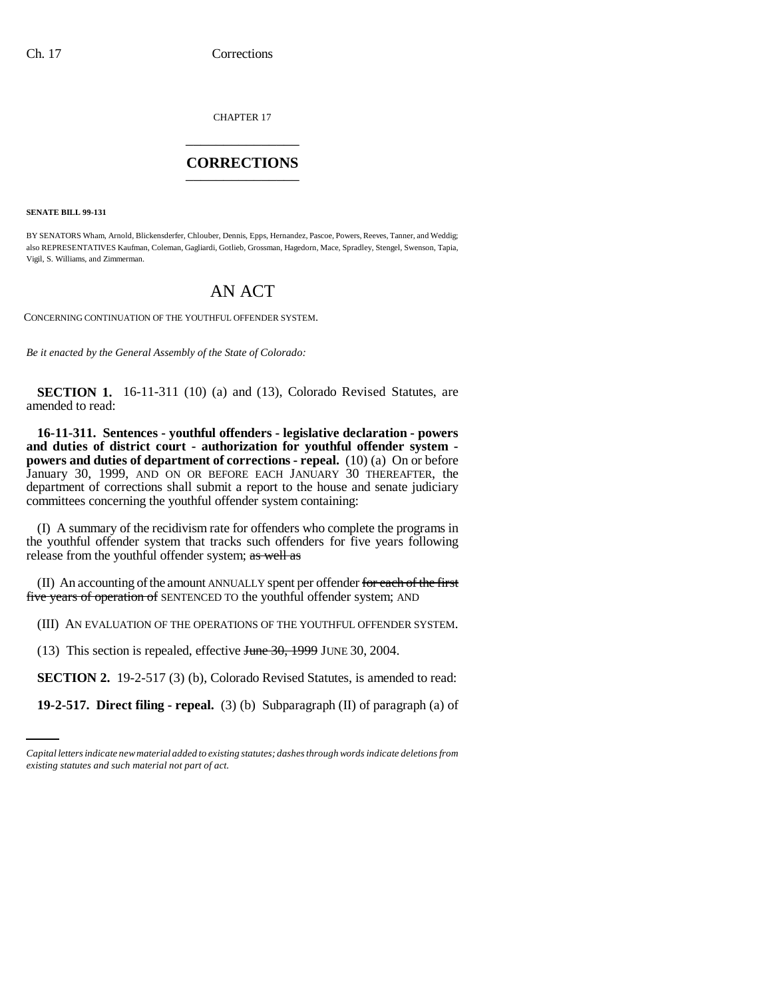CHAPTER 17 \_\_\_\_\_\_\_\_\_\_\_\_\_\_\_

## **CORRECTIONS** \_\_\_\_\_\_\_\_\_\_\_\_\_\_\_

**SENATE BILL 99-131**

BY SENATORS Wham, Arnold, Blickensderfer, Chlouber, Dennis, Epps, Hernandez, Pascoe, Powers, Reeves, Tanner, and Weddig; also REPRESENTATIVES Kaufman, Coleman, Gagliardi, Gotlieb, Grossman, Hagedorn, Mace, Spradley, Stengel, Swenson, Tapia, Vigil, S. Williams, and Zimmerman.

## AN ACT

CONCERNING CONTINUATION OF THE YOUTHFUL OFFENDER SYSTEM.

*Be it enacted by the General Assembly of the State of Colorado:*

**SECTION 1.** 16-11-311 (10) (a) and (13), Colorado Revised Statutes, are amended to read:

**16-11-311. Sentences - youthful offenders - legislative declaration - powers and duties of district court - authorization for youthful offender system powers and duties of department of corrections - repeal.** (10) (a) On or before January 30, 1999, AND ON OR BEFORE EACH JANUARY 30 THEREAFTER, the department of corrections shall submit a report to the house and senate judiciary committees concerning the youthful offender system containing:

(I) A summary of the recidivism rate for offenders who complete the programs in the youthful offender system that tracks such offenders for five years following release from the youthful offender system; as well as

(II) An accounting of the amount ANNUALLY spent per offender for each of the first five years of operation of SENTENCED TO the youthful offender system; AND

(III) AN EVALUATION OF THE OPERATIONS OF THE YOUTHFUL OFFENDER SYSTEM.

(13) This section is repealed, effective June 30, 1999 JUNE 30, 2004.

**SECTION 2.** 19-2-517 (3) (b), Colorado Revised Statutes, is amended to read:

**19-2-517. Direct filing - repeal.** (3) (b) Subparagraph (II) of paragraph (a) of

*Capital letters indicate new material added to existing statutes; dashes through words indicate deletions from existing statutes and such material not part of act.*